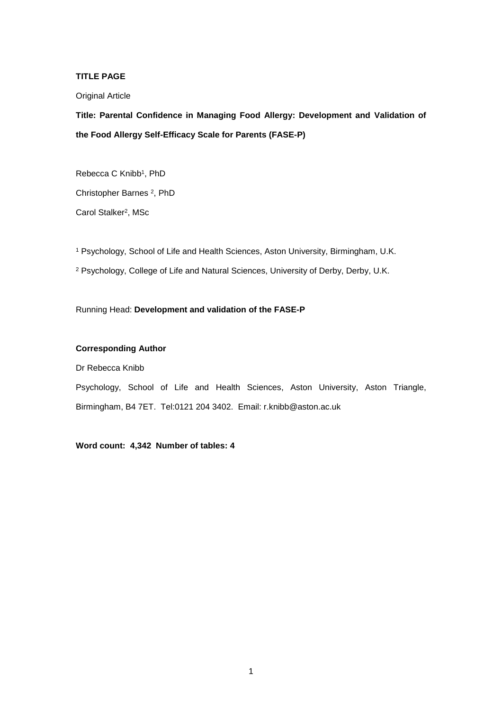## **TITLE PAGE**

### Original Article

**Title: Parental Confidence in Managing Food Allergy: Development and Validation of the Food Allergy Self-Efficacy Scale for Parents (FASE-P)**

Rebecca C Knibb<sup>1</sup> , PhD Christopher Barnes<sup>2</sup>, PhD Carol Stalker<sup>2</sup>, MSc

<sup>1</sup> Psychology, School of Life and Health Sciences, Aston University, Birmingham, U.K. <sup>2</sup> Psychology, College of Life and Natural Sciences, University of Derby, Derby, U.K.

## Running Head: **Development and validation of the FASE-P**

## **Corresponding Author**

Dr Rebecca Knibb

Psychology, School of Life and Health Sciences, Aston University, Aston Triangle, Birmingham, B4 7ET. Tel:0121 204 3402. Email: r.knibb@aston.ac.uk

**Word count: 4,342 Number of tables: 4**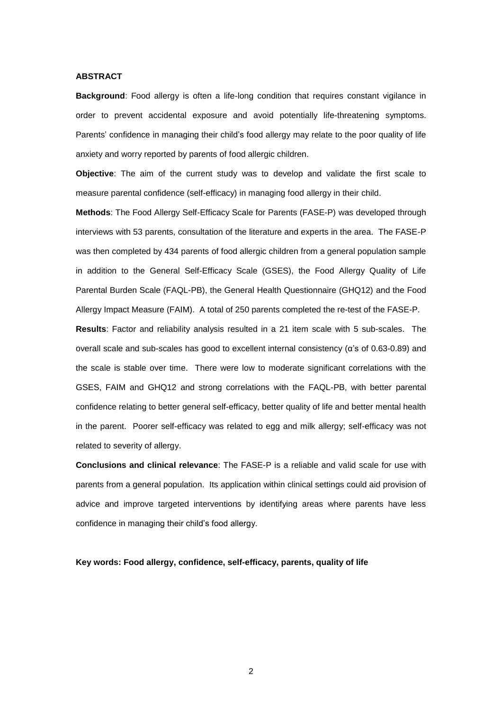#### **ABSTRACT**

**Background**: Food allergy is often a life-long condition that requires constant vigilance in order to prevent accidental exposure and avoid potentially life-threatening symptoms. Parents' confidence in managing their child's food allergy may relate to the poor quality of life anxiety and worry reported by parents of food allergic children.

**Objective**: The aim of the current study was to develop and validate the first scale to measure parental confidence (self-efficacy) in managing food allergy in their child.

**Methods**: The Food Allergy Self-Efficacy Scale for Parents (FASE-P) was developed through interviews with 53 parents, consultation of the literature and experts in the area. The FASE-P was then completed by 434 parents of food allergic children from a general population sample in addition to the General Self-Efficacy Scale (GSES), the Food Allergy Quality of Life Parental Burden Scale (FAQL-PB), the General Health Questionnaire (GHQ12) and the Food Allergy Impact Measure (FAIM). A total of 250 parents completed the re-test of the FASE-P. **Results**: Factor and reliability analysis resulted in a 21 item scale with 5 sub-scales. The overall scale and sub-scales has good to excellent internal consistency (α's of 0.63-0.89) and the scale is stable over time. There were low to moderate significant correlations with the GSES, FAIM and GHQ12 and strong correlations with the FAQL-PB, with better parental confidence relating to better general self-efficacy, better quality of life and better mental health in the parent. Poorer self-efficacy was related to egg and milk allergy; self-efficacy was not related to severity of allergy.

**Conclusions and clinical relevance**: The FASE-P is a reliable and valid scale for use with parents from a general population. Its application within clinical settings could aid provision of advice and improve targeted interventions by identifying areas where parents have less confidence in managing their child's food allergy.

**Key words: Food allergy, confidence, self-efficacy, parents, quality of life**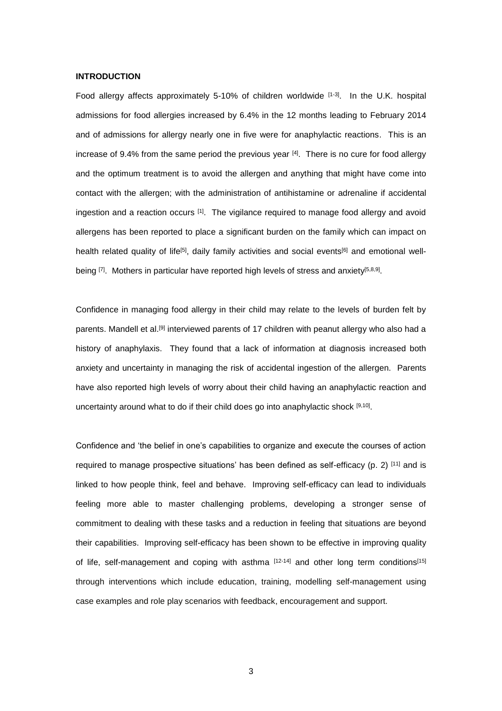#### **INTRODUCTION**

Food allergy affects approximately 5-10% of children worldwide <sup>[1-3]</sup>. In the U.K. hospital admissions for food allergies increased by 6.4% in the 12 months leading to February 2014 and of admissions for allergy nearly one in five were for anaphylactic reactions. This is an increase of 9.4% from the same period the previous year <sup>[4]</sup>. There is no cure for food allergy and the optimum treatment is to avoid the allergen and anything that might have come into contact with the allergen; with the administration of antihistamine or adrenaline if accidental ingestion and a reaction occurs <sup>[1]</sup>. The vigilance required to manage food allergy and avoid allergens has been reported to place a significant burden on the family which can impact on health related quality of life<sup>[5]</sup>, daily family activities and social events<sup>[6]</sup> and emotional wellbeing <sup>[7]</sup>. Mothers in particular have reported high levels of stress and anxiety<sup>[5,8,9]</sup>.

Confidence in managing food allergy in their child may relate to the levels of burden felt by parents. Mandell et al.<sup>[9]</sup> interviewed parents of 17 children with peanut allergy who also had a history of anaphylaxis. They found that a lack of information at diagnosis increased both anxiety and uncertainty in managing the risk of accidental ingestion of the allergen. Parents have also reported high levels of worry about their child having an anaphylactic reaction and uncertainty around what to do if their child does go into anaphylactic shock [9,10].

Confidence and 'the belief in one's capabilities to organize and execute the courses of action required to manage prospective situations' has been defined as self-efficacy (p. 2) [11] and is linked to how people think, feel and behave. Improving self-efficacy can lead to individuals feeling more able to master challenging problems, developing a stronger sense of commitment to dealing with these tasks and a reduction in feeling that situations are beyond their capabilities. Improving self-efficacy has been shown to be effective in improving quality of life, self-management and coping with asthma  $[12-14]$  and other long term conditions<sup>[15]</sup> through interventions which include education, training, modelling self-management using case examples and role play scenarios with feedback, encouragement and support.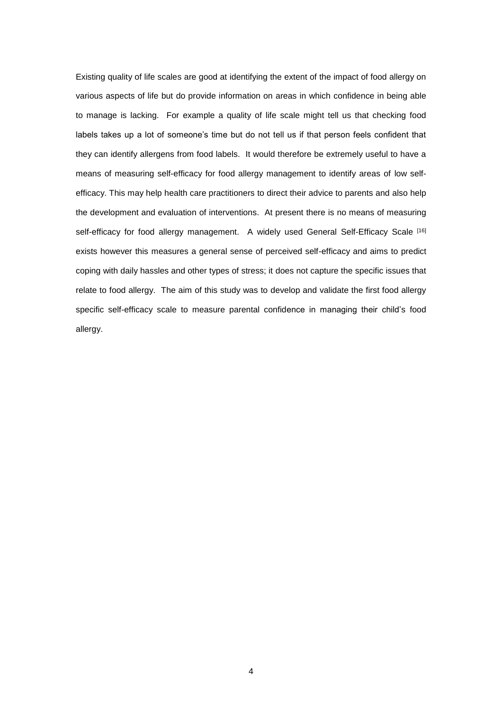Existing quality of life scales are good at identifying the extent of the impact of food allergy on various aspects of life but do provide information on areas in which confidence in being able to manage is lacking. For example a quality of life scale might tell us that checking food labels takes up a lot of someone's time but do not tell us if that person feels confident that they can identify allergens from food labels. It would therefore be extremely useful to have a means of measuring self-efficacy for food allergy management to identify areas of low selfefficacy. This may help health care practitioners to direct their advice to parents and also help the development and evaluation of interventions. At present there is no means of measuring self-efficacy for food allergy management. A widely used General Self-Efficacy Scale [16] exists however this measures a general sense of perceived self-efficacy and aims to predict coping with daily hassles and other types of stress; it does not capture the specific issues that relate to food allergy. The aim of this study was to develop and validate the first food allergy specific self-efficacy scale to measure parental confidence in managing their child's food allergy.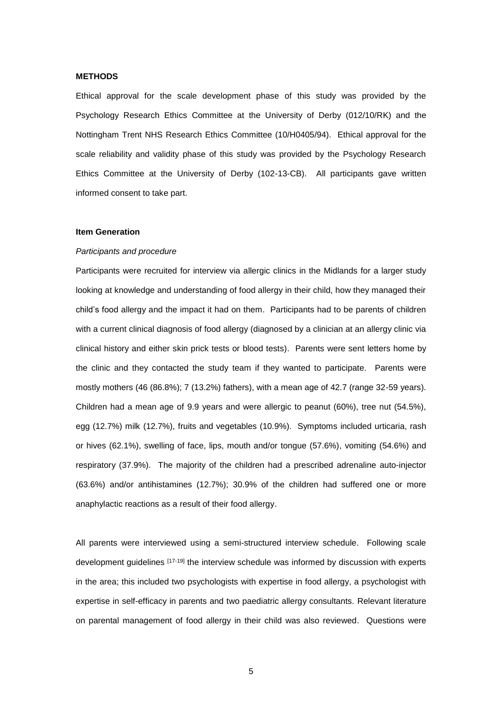#### **METHODS**

Ethical approval for the scale development phase of this study was provided by the Psychology Research Ethics Committee at the University of Derby (012/10/RK) and the Nottingham Trent NHS Research Ethics Committee (10/H0405/94). Ethical approval for the scale reliability and validity phase of this study was provided by the Psychology Research Ethics Committee at the University of Derby (102-13-CB). All participants gave written informed consent to take part.

#### **Item Generation**

#### *Participants and procedure*

Participants were recruited for interview via allergic clinics in the Midlands for a larger study looking at knowledge and understanding of food allergy in their child, how they managed their child's food allergy and the impact it had on them. Participants had to be parents of children with a current clinical diagnosis of food allergy (diagnosed by a clinician at an allergy clinic via clinical history and either skin prick tests or blood tests). Parents were sent letters home by the clinic and they contacted the study team if they wanted to participate. Parents were mostly mothers (46 (86.8%); 7 (13.2%) fathers), with a mean age of 42.7 (range 32-59 years). Children had a mean age of 9.9 years and were allergic to peanut (60%), tree nut (54.5%), egg (12.7%) milk (12.7%), fruits and vegetables (10.9%). Symptoms included urticaria, rash or hives (62.1%), swelling of face, lips, mouth and/or tongue (57.6%), vomiting (54.6%) and respiratory (37.9%). The majority of the children had a prescribed adrenaline auto-injector (63.6%) and/or antihistamines (12.7%); 30.9% of the children had suffered one or more anaphylactic reactions as a result of their food allergy.

All parents were interviewed using a semi-structured interview schedule. Following scale development guidelines [17-19] the interview schedule was informed by discussion with experts in the area; this included two psychologists with expertise in food allergy, a psychologist with expertise in self-efficacy in parents and two paediatric allergy consultants. Relevant literature on parental management of food allergy in their child was also reviewed. Questions were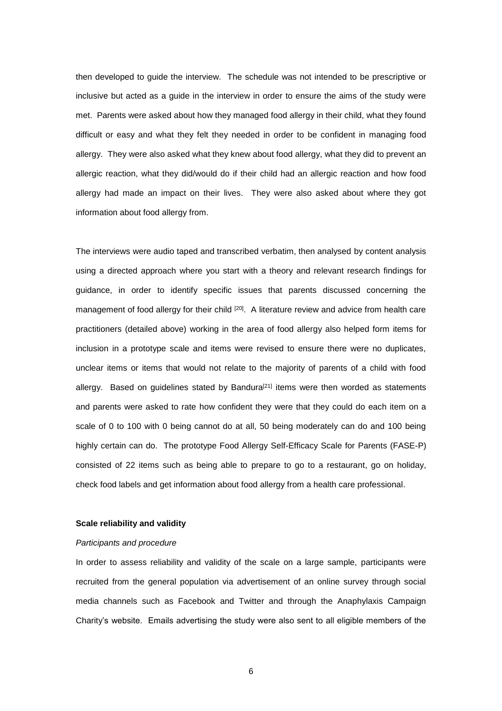then developed to guide the interview. The schedule was not intended to be prescriptive or inclusive but acted as a guide in the interview in order to ensure the aims of the study were met. Parents were asked about how they managed food allergy in their child, what they found difficult or easy and what they felt they needed in order to be confident in managing food allergy. They were also asked what they knew about food allergy, what they did to prevent an allergic reaction, what they did/would do if their child had an allergic reaction and how food allergy had made an impact on their lives. They were also asked about where they got information about food allergy from.

The interviews were audio taped and transcribed verbatim, then analysed by content analysis using a directed approach where you start with a theory and relevant research findings for guidance, in order to identify specific issues that parents discussed concerning the management of food allergy for their child <sup>[20]</sup>. A literature review and advice from health care practitioners (detailed above) working in the area of food allergy also helped form items for inclusion in a prototype scale and items were revised to ensure there were no duplicates, unclear items or items that would not relate to the majority of parents of a child with food allergy. Based on guidelines stated by Bandura<sup>[21]</sup> items were then worded as statements and parents were asked to rate how confident they were that they could do each item on a scale of 0 to 100 with 0 being cannot do at all, 50 being moderately can do and 100 being highly certain can do. The prototype Food Allergy Self-Efficacy Scale for Parents (FASE-P) consisted of 22 items such as being able to prepare to go to a restaurant, go on holiday, check food labels and get information about food allergy from a health care professional.

#### **Scale reliability and validity**

#### *Participants and procedure*

In order to assess reliability and validity of the scale on a large sample, participants were recruited from the general population via advertisement of an online survey through social media channels such as Facebook and Twitter and through the Anaphylaxis Campaign Charity's website. Emails advertising the study were also sent to all eligible members of the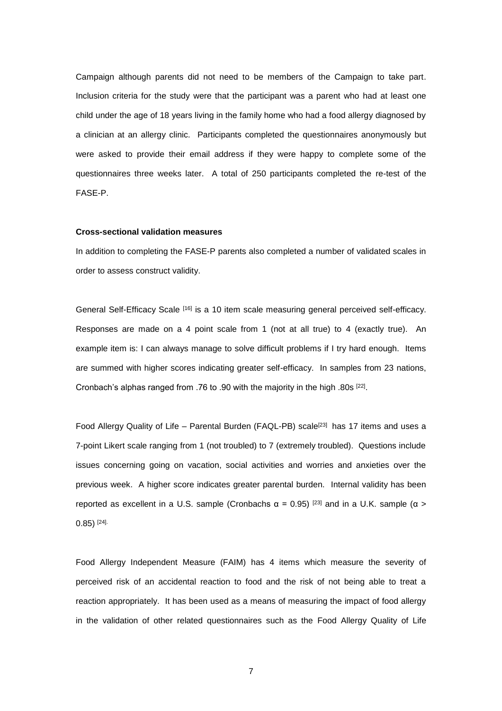Campaign although parents did not need to be members of the Campaign to take part. Inclusion criteria for the study were that the participant was a parent who had at least one child under the age of 18 years living in the family home who had a food allergy diagnosed by a clinician at an allergy clinic. Participants completed the questionnaires anonymously but were asked to provide their email address if they were happy to complete some of the questionnaires three weeks later. A total of 250 participants completed the re-test of the FASE-P.

#### **Cross-sectional validation measures**

In addition to completing the FASE-P parents also completed a number of validated scales in order to assess construct validity.

General Self-Efficacy Scale [16] is a 10 item scale measuring general perceived self-efficacy. Responses are made on a 4 point scale from 1 (not at all true) to 4 (exactly true). An example item is: I can always manage to solve difficult problems if I try hard enough. Items are summed with higher scores indicating greater self-efficacy. In samples from 23 nations, Cronbach's alphas ranged from .76 to .90 with the majority in the high .80s [22].

Food Allergy Quality of Life – Parental Burden (FAQL-PB) scale<sup>[23]</sup> has 17 items and uses a 7-point Likert scale ranging from 1 (not troubled) to 7 (extremely troubled). Questions include issues concerning going on vacation, social activities and worries and anxieties over the previous week. A higher score indicates greater parental burden. Internal validity has been reported as excellent in a U.S. sample (Cronbachs  $\alpha$  = 0.95) [23] and in a U.K. sample (α > 0.85) [24].

Food Allergy Independent Measure (FAIM) has 4 items which measure the severity of perceived risk of an accidental reaction to food and the risk of not being able to treat a reaction appropriately. It has been used as a means of measuring the impact of food allergy in the validation of other related questionnaires such as the Food Allergy Quality of Life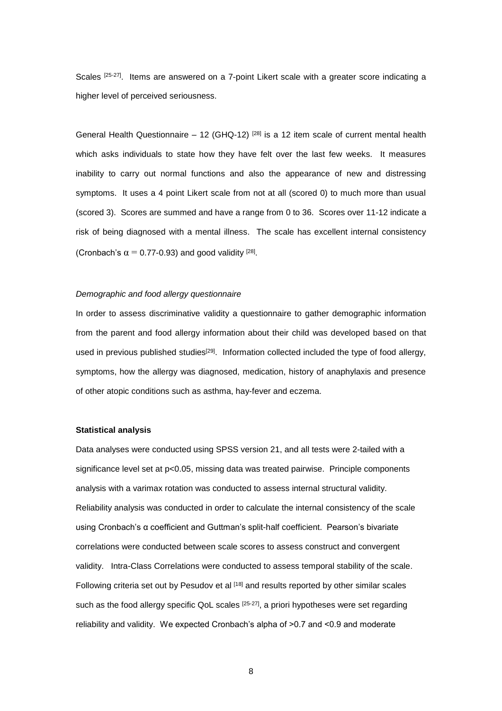Scales <sup>[25-27]</sup>. Items are answered on a 7-point Likert scale with a greater score indicating a higher level of perceived seriousness.

General Health Questionnaire – 12 (GHQ-12)<sup>[28]</sup> is a 12 item scale of current mental health which asks individuals to state how they have felt over the last few weeks. It measures inability to carry out normal functions and also the appearance of new and distressing symptoms. It uses a 4 point Likert scale from not at all (scored 0) to much more than usual (scored 3). Scores are summed and have a range from 0 to 36. Scores over 11-12 indicate a risk of being diagnosed with a mental illness. The scale has excellent internal consistency (Cronbach's  $\alpha = 0.77$ -0.93) and good validity <sup>[28]</sup>.

#### *Demographic and food allergy questionnaire*

In order to assess discriminative validity a questionnaire to gather demographic information from the parent and food allergy information about their child was developed based on that used in previous published studies<sup>[29]</sup>. Information collected included the type of food allergy, symptoms, how the allergy was diagnosed, medication, history of anaphylaxis and presence of other atopic conditions such as asthma, hay-fever and eczema.

#### **Statistical analysis**

Data analyses were conducted using SPSS version 21, and all tests were 2-tailed with a significance level set at p<0.05, missing data was treated pairwise. Principle components analysis with a varimax rotation was conducted to assess internal structural validity. Reliability analysis was conducted in order to calculate the internal consistency of the scale using Cronbach's α coefficient and Guttman's split-half coefficient. Pearson's bivariate correlations were conducted between scale scores to assess construct and convergent validity. Intra-Class Correlations were conducted to assess temporal stability of the scale. Following criteria set out by Pesudov et al [18] and results reported by other similar scales such as the food allergy specific QoL scales <sup>[25-27]</sup>, a priori hypotheses were set regarding reliability and validity. We expected Cronbach's alpha of >0.7 and <0.9 and moderate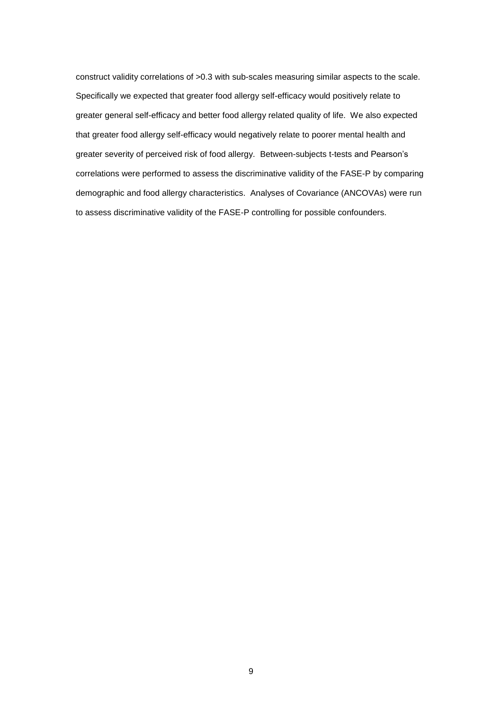construct validity correlations of >0.3 with sub-scales measuring similar aspects to the scale. Specifically we expected that greater food allergy self-efficacy would positively relate to greater general self-efficacy and better food allergy related quality of life. We also expected that greater food allergy self-efficacy would negatively relate to poorer mental health and greater severity of perceived risk of food allergy. Between-subjects t-tests and Pearson's correlations were performed to assess the discriminative validity of the FASE-P by comparing demographic and food allergy characteristics. Analyses of Covariance (ANCOVAs) were run to assess discriminative validity of the FASE-P controlling for possible confounders.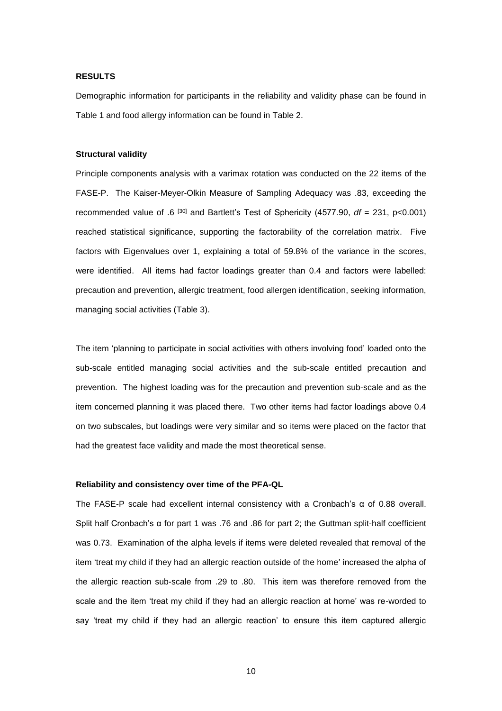#### **RESULTS**

Demographic information for participants in the reliability and validity phase can be found in Table 1 and food allergy information can be found in Table 2.

#### **Structural validity**

Principle components analysis with a varimax rotation was conducted on the 22 items of the FASE-P. The Kaiser-Meyer-Olkin Measure of Sampling Adequacy was .83, exceeding the recommended value of .6 [30] and Bartlett's Test of Sphericity (4577.90, *df* = 231, p<0.001) reached statistical significance, supporting the factorability of the correlation matrix. Five factors with Eigenvalues over 1, explaining a total of 59.8% of the variance in the scores, were identified. All items had factor loadings greater than 0.4 and factors were labelled: precaution and prevention, allergic treatment, food allergen identification, seeking information, managing social activities (Table 3).

The item 'planning to participate in social activities with others involving food' loaded onto the sub-scale entitled managing social activities and the sub-scale entitled precaution and prevention. The highest loading was for the precaution and prevention sub-scale and as the item concerned planning it was placed there. Two other items had factor loadings above 0.4 on two subscales, but loadings were very similar and so items were placed on the factor that had the greatest face validity and made the most theoretical sense.

### **Reliability and consistency over time of the PFA-QL**

The FASE-P scale had excellent internal consistency with a Cronbach's α of 0.88 overall. Split half Cronbach's α for part 1 was .76 and .86 for part 2; the Guttman split-half coefficient was 0.73. Examination of the alpha levels if items were deleted revealed that removal of the item 'treat my child if they had an allergic reaction outside of the home' increased the alpha of the allergic reaction sub-scale from .29 to .80. This item was therefore removed from the scale and the item 'treat my child if they had an allergic reaction at home' was re-worded to say 'treat my child if they had an allergic reaction' to ensure this item captured allergic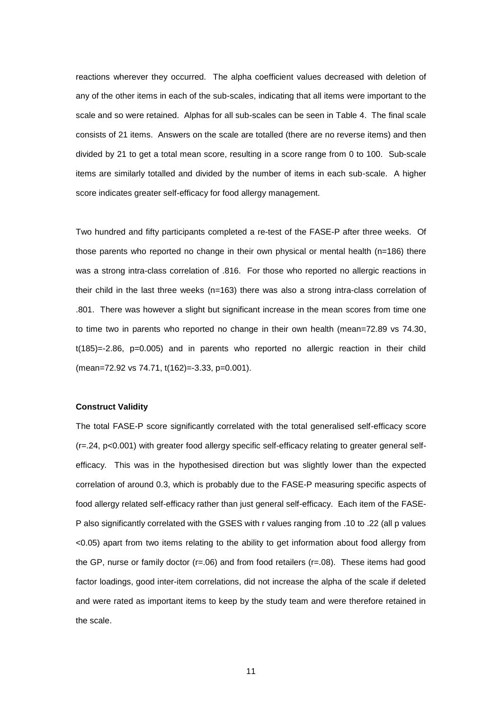reactions wherever they occurred. The alpha coefficient values decreased with deletion of any of the other items in each of the sub-scales, indicating that all items were important to the scale and so were retained. Alphas for all sub-scales can be seen in Table 4. The final scale consists of 21 items. Answers on the scale are totalled (there are no reverse items) and then divided by 21 to get a total mean score, resulting in a score range from 0 to 100. Sub-scale items are similarly totalled and divided by the number of items in each sub-scale. A higher score indicates greater self-efficacy for food allergy management.

Two hundred and fifty participants completed a re-test of the FASE-P after three weeks. Of those parents who reported no change in their own physical or mental health  $(n=186)$  there was a strong intra-class correlation of .816. For those who reported no allergic reactions in their child in the last three weeks (n=163) there was also a strong intra-class correlation of .801. There was however a slight but significant increase in the mean scores from time one to time two in parents who reported no change in their own health (mean=72.89 vs 74.30, t(185)=-2.86, p=0.005) and in parents who reported no allergic reaction in their child (mean=72.92 vs 74.71, t(162)=-3.33, p=0.001).

#### **Construct Validity**

The total FASE-P score significantly correlated with the total generalised self-efficacy score (r=.24, p<0.001) with greater food allergy specific self-efficacy relating to greater general selfefficacy. This was in the hypothesised direction but was slightly lower than the expected correlation of around 0.3, which is probably due to the FASE-P measuring specific aspects of food allergy related self-efficacy rather than just general self-efficacy. Each item of the FASE-P also significantly correlated with the GSES with r values ranging from .10 to .22 (all p values <0.05) apart from two items relating to the ability to get information about food allergy from the GP, nurse or family doctor ( $r=.06$ ) and from food retailers ( $r=.08$ ). These items had good factor loadings, good inter-item correlations, did not increase the alpha of the scale if deleted and were rated as important items to keep by the study team and were therefore retained in the scale.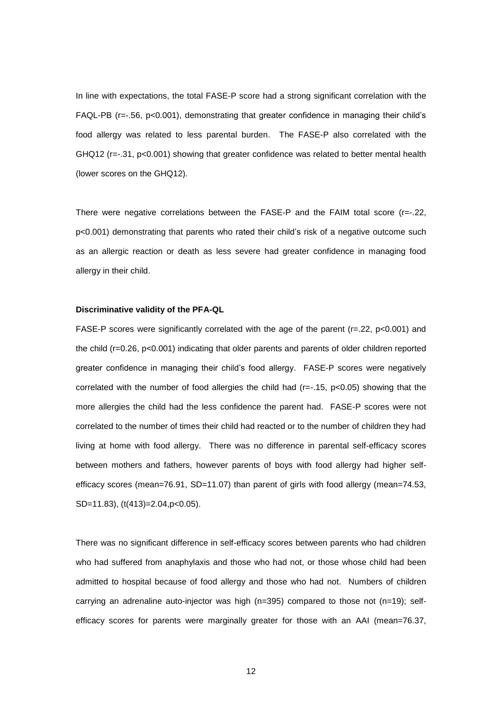In line with expectations, the total FASE-P score had a strong significant correlation with the FAQL-PB (r=-.56, p<0.001), demonstrating that greater confidence in managing their child's food allergy was related to less parental burden. The FASE-P also correlated with the GHQ12 (r=-.31, p<0.001) showing that greater confidence was related to better mental health (lower scores on the GHQ12).

There were negative correlations between the FASE-P and the FAIM total score (r=-.22, p<0.001) demonstrating that parents who rated their child's risk of a negative outcome such as an allergic reaction or death as less severe had greater confidence in managing food allergy in their child.

## **Discriminative validity of the PFA-QL**

FASE-P scores were significantly correlated with the age of the parent ( $r = .22$ ,  $p < 0.001$ ) and the child (r=0.26, p<0.001) indicating that older parents and parents of older children reported greater confidence in managing their child's food allergy. FASE-P scores were negatively correlated with the number of food allergies the child had ( $r=-15$ ,  $p<0.05$ ) showing that the more allergies the child had the less confidence the parent had. FASE-P scores were not correlated to the number of times their child had reacted or to the number of children they had living at home with food allergy. There was no difference in parental self-efficacy scores between mothers and fathers, however parents of boys with food allergy had higher selfefficacy scores (mean=76.91, SD=11.07) than parent of girls with food allergy (mean=74.53, SD=11.83), (t(413)=2.04,p<0.05).

There was no significant difference in self-efficacy scores between parents who had children who had suffered from anaphylaxis and those who had not, or those whose child had been admitted to hospital because of food allergy and those who had not. Numbers of children carrying an adrenaline auto-injector was high (n=395) compared to those not (n=19); selfefficacy scores for parents were marginally greater for those with an AAI (mean=76.37,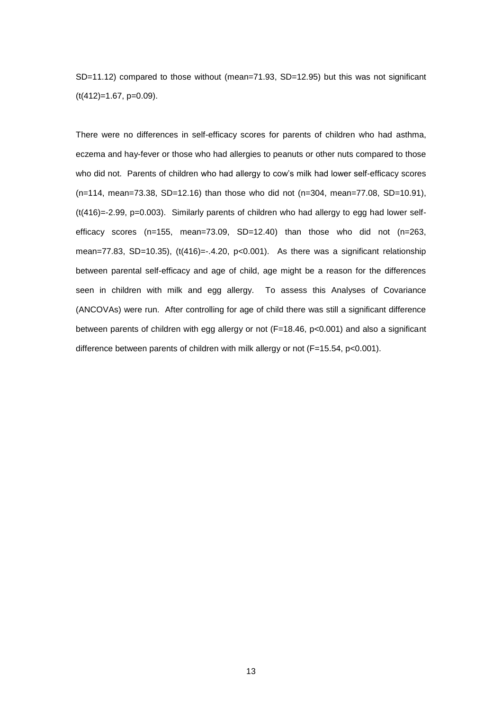SD=11.12) compared to those without (mean=71.93, SD=12.95) but this was not significant  $(t(412)=1.67, p=0.09)$ .

There were no differences in self-efficacy scores for parents of children who had asthma, eczema and hay-fever or those who had allergies to peanuts or other nuts compared to those who did not. Parents of children who had allergy to cow's milk had lower self-efficacy scores  $(n=114, \text{ mean} = 73.38, \text{ SD} = 12.16)$  than those who did not  $(n=304, \text{ mean} = 77.08, \text{ SD} = 10.91)$ , (t(416)=-2.99, p=0.003). Similarly parents of children who had allergy to egg had lower selfefficacy scores (n=155, mean=73.09, SD=12.40) than those who did not (n=263, mean=77.83,  $SD=10.35$ ), (t(416)=-.4.20, p<0.001). As there was a significant relationship between parental self-efficacy and age of child, age might be a reason for the differences seen in children with milk and egg allergy. To assess this Analyses of Covariance (ANCOVAs) were run. After controlling for age of child there was still a significant difference between parents of children with egg allergy or not (F=18.46, p<0.001) and also a significant difference between parents of children with milk allergy or not (F=15.54, p<0.001).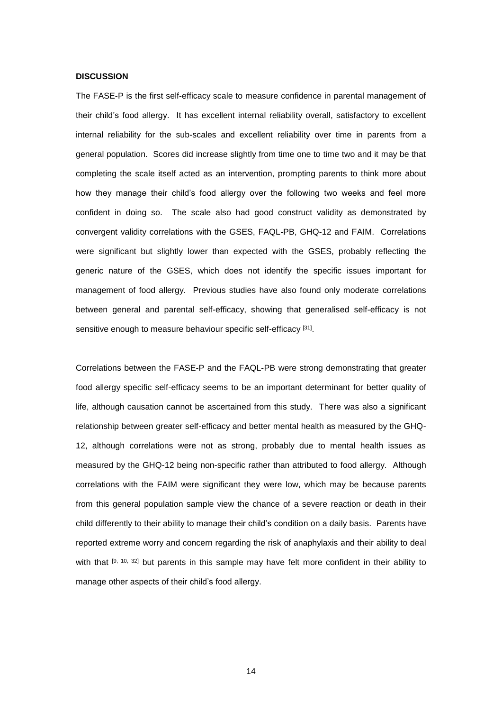#### **DISCUSSION**

The FASE-P is the first self-efficacy scale to measure confidence in parental management of their child's food allergy. It has excellent internal reliability overall, satisfactory to excellent internal reliability for the sub-scales and excellent reliability over time in parents from a general population. Scores did increase slightly from time one to time two and it may be that completing the scale itself acted as an intervention, prompting parents to think more about how they manage their child's food allergy over the following two weeks and feel more confident in doing so. The scale also had good construct validity as demonstrated by convergent validity correlations with the GSES, FAQL-PB, GHQ-12 and FAIM. Correlations were significant but slightly lower than expected with the GSES, probably reflecting the generic nature of the GSES, which does not identify the specific issues important for management of food allergy. Previous studies have also found only moderate correlations between general and parental self-efficacy, showing that generalised self-efficacy is not sensitive enough to measure behaviour specific self-efficacy [31].

Correlations between the FASE-P and the FAQL-PB were strong demonstrating that greater food allergy specific self-efficacy seems to be an important determinant for better quality of life, although causation cannot be ascertained from this study. There was also a significant relationship between greater self-efficacy and better mental health as measured by the GHQ-12, although correlations were not as strong, probably due to mental health issues as measured by the GHQ-12 being non-specific rather than attributed to food allergy. Although correlations with the FAIM were significant they were low, which may be because parents from this general population sample view the chance of a severe reaction or death in their child differently to their ability to manage their child's condition on a daily basis. Parents have reported extreme worry and concern regarding the risk of anaphylaxis and their ability to deal with that  $[9, 10, 32]$  but parents in this sample may have felt more confident in their ability to manage other aspects of their child's food allergy.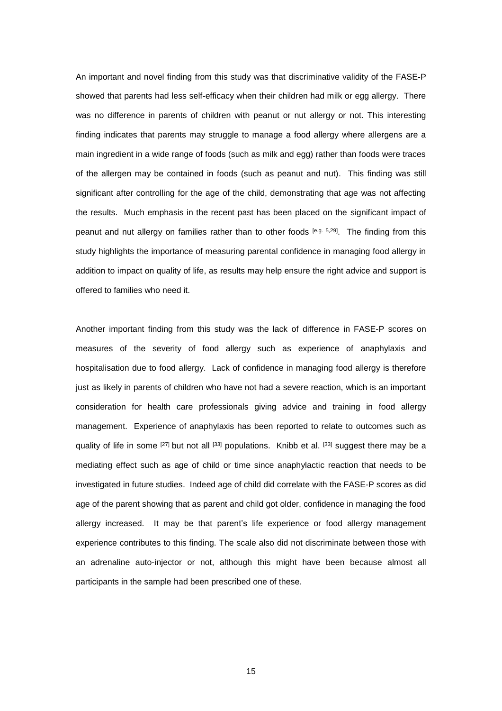An important and novel finding from this study was that discriminative validity of the FASE-P showed that parents had less self-efficacy when their children had milk or egg allergy. There was no difference in parents of children with peanut or nut allergy or not. This interesting finding indicates that parents may struggle to manage a food allergy where allergens are a main ingredient in a wide range of foods (such as milk and egg) rather than foods were traces of the allergen may be contained in foods (such as peanut and nut). This finding was still significant after controlling for the age of the child, demonstrating that age was not affecting the results. Much emphasis in the recent past has been placed on the significant impact of peanut and nut allergy on families rather than to other foods [e.g. 5,29]. The finding from this study highlights the importance of measuring parental confidence in managing food allergy in addition to impact on quality of life, as results may help ensure the right advice and support is offered to families who need it.

Another important finding from this study was the lack of difference in FASE-P scores on measures of the severity of food allergy such as experience of anaphylaxis and hospitalisation due to food allergy. Lack of confidence in managing food allergy is therefore just as likely in parents of children who have not had a severe reaction, which is an important consideration for health care professionals giving advice and training in food allergy management. Experience of anaphylaxis has been reported to relate to outcomes such as quality of life in some <sup>[27]</sup> but not all <sup>[33]</sup> populations. Knibb et al. <sup>[33]</sup> suggest there may be a mediating effect such as age of child or time since anaphylactic reaction that needs to be investigated in future studies. Indeed age of child did correlate with the FASE-P scores as did age of the parent showing that as parent and child got older, confidence in managing the food allergy increased. It may be that parent's life experience or food allergy management experience contributes to this finding. The scale also did not discriminate between those with an adrenaline auto-injector or not, although this might have been because almost all participants in the sample had been prescribed one of these.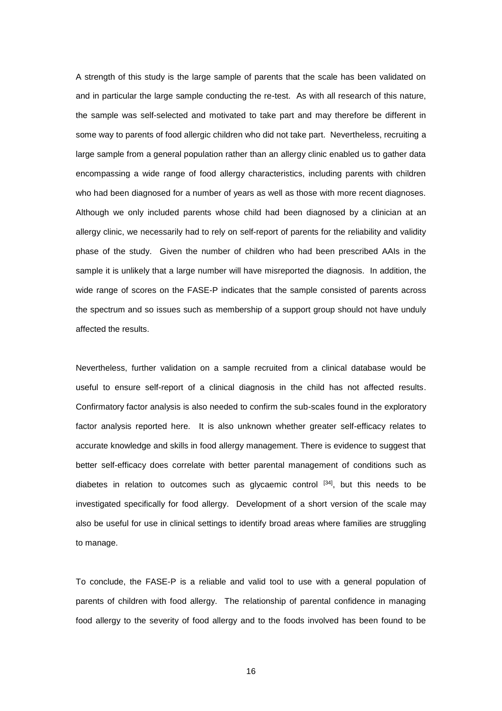A strength of this study is the large sample of parents that the scale has been validated on and in particular the large sample conducting the re-test. As with all research of this nature, the sample was self-selected and motivated to take part and may therefore be different in some way to parents of food allergic children who did not take part. Nevertheless, recruiting a large sample from a general population rather than an allergy clinic enabled us to gather data encompassing a wide range of food allergy characteristics, including parents with children who had been diagnosed for a number of years as well as those with more recent diagnoses. Although we only included parents whose child had been diagnosed by a clinician at an allergy clinic, we necessarily had to rely on self-report of parents for the reliability and validity phase of the study. Given the number of children who had been prescribed AAIs in the sample it is unlikely that a large number will have misreported the diagnosis. In addition, the wide range of scores on the FASE-P indicates that the sample consisted of parents across the spectrum and so issues such as membership of a support group should not have unduly affected the results.

Nevertheless, further validation on a sample recruited from a clinical database would be useful to ensure self-report of a clinical diagnosis in the child has not affected results. Confirmatory factor analysis is also needed to confirm the sub-scales found in the exploratory factor analysis reported here. It is also unknown whether greater self-efficacy relates to accurate knowledge and skills in food allergy management. There is evidence to suggest that better self-efficacy does correlate with better parental management of conditions such as diabetes in relation to outcomes such as glycaemic control [34], but this needs to be investigated specifically for food allergy. Development of a short version of the scale may also be useful for use in clinical settings to identify broad areas where families are struggling to manage.

To conclude, the FASE-P is a reliable and valid tool to use with a general population of parents of children with food allergy. The relationship of parental confidence in managing food allergy to the severity of food allergy and to the foods involved has been found to be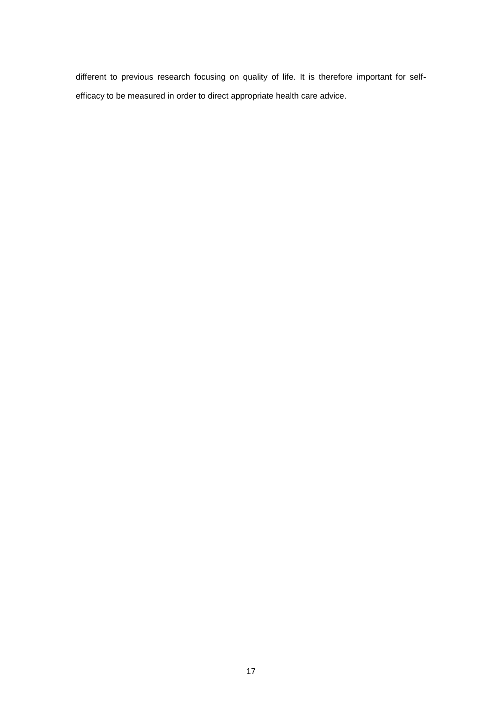different to previous research focusing on quality of life. It is therefore important for selfefficacy to be measured in order to direct appropriate health care advice.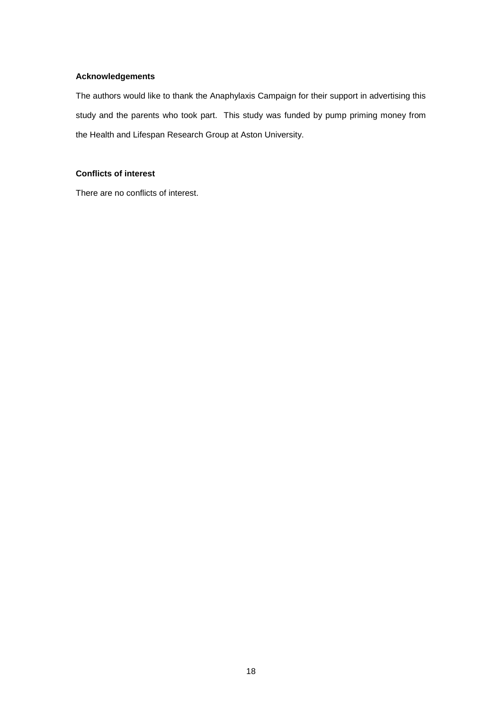# **Acknowledgements**

The authors would like to thank the Anaphylaxis Campaign for their support in advertising this study and the parents who took part. This study was funded by pump priming money from the Health and Lifespan Research Group at Aston University.

## **Conflicts of interest**

There are no conflicts of interest.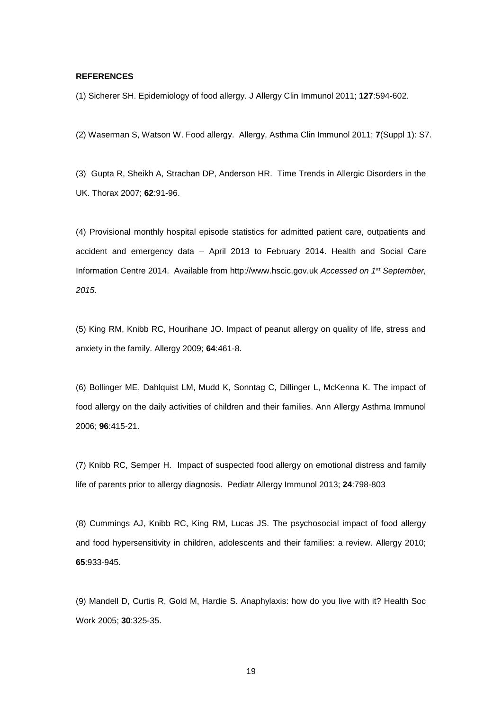#### **REFERENCES**

(1) Sicherer SH. Epidemiology of food allergy. J Allergy Clin Immunol 2011; **127**:594-602.

(2) Waserman S, Watson W. Food allergy. Allergy, Asthma Clin Immunol 2011; **7**(Suppl 1): S7.

(3) Gupta R, Sheikh A, Strachan DP, Anderson HR. Time Trends in Allergic Disorders in the UK. Thorax 2007; **62**:91-96.

(4) Provisional monthly hospital episode statistics for admitted patient care, outpatients and accident and emergency data – April 2013 to February 2014. Health and Social Care Information Centre 2014. Available from http://www.hscic.gov.uk *Accessed on 1st September, 2015.*

(5) King RM, Knibb RC, Hourihane JO. Impact of peanut allergy on quality of life, stress and anxiety in the family. Allergy 2009; **64**:461-8.

(6) Bollinger ME, Dahlquist LM, Mudd K, Sonntag C, Dillinger L, McKenna K. The impact of food allergy on the daily activities of children and their families. Ann Allergy Asthma Immunol 2006; **96**:415-21.

(7) Knibb RC, Semper H. Impact of suspected food allergy on emotional distress and family life of parents prior to allergy diagnosis. Pediatr Allergy Immunol 2013; **24**:798-803

(8) Cummings AJ, Knibb RC, King RM, Lucas JS. The psychosocial impact of food allergy and food hypersensitivity in children, adolescents and their families: a review. Allergy 2010; **65**:933-945.

(9) Mandell D, Curtis R, Gold M, Hardie S. Anaphylaxis: how do you live with it? Health Soc Work 2005; **30**:325-35.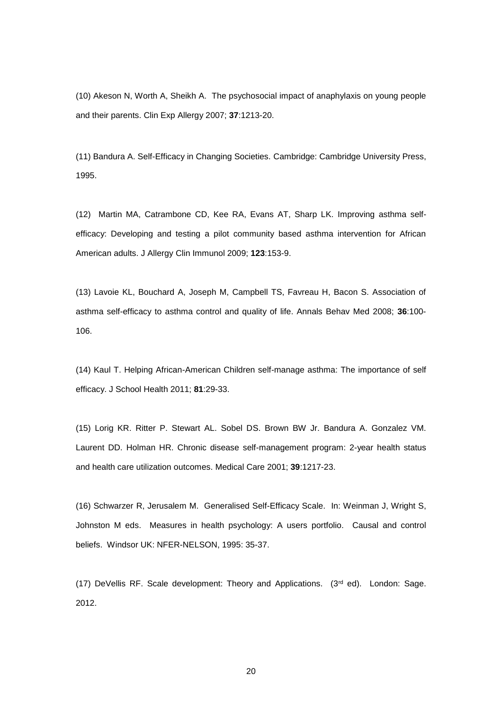(10) Akeson N, Worth A, Sheikh A. The psychosocial impact of anaphylaxis on young people and their parents. Clin Exp Allergy 2007; **37**:1213-20.

(11) Bandura A. Self-Efficacy in Changing Societies. Cambridge: Cambridge University Press, 1995.

(12) Martin MA, Catrambone CD, Kee RA, Evans AT, Sharp LK. Improving asthma selfefficacy: Developing and testing a pilot community based asthma intervention for African American adults. J Allergy Clin Immunol 2009; **123**:153-9.

(13) Lavoie KL, Bouchard A, Joseph M, Campbell TS, Favreau H, Bacon S. Association of asthma self-efficacy to asthma control and quality of life. Annals Behav Med 2008; **36**:100- 106.

(14) Kaul T. Helping African-American Children self-manage asthma: The importance of self efficacy. J School Health 2011; **81**:29-33.

(15) Lorig KR. Ritter P. Stewart AL. Sobel DS. Brown BW Jr. Bandura A. Gonzalez VM. Laurent DD. Holman HR. Chronic disease self-management program: 2-year health status and health care utilization outcomes. Medical Care 2001; **39**:1217-23.

(16) Schwarzer R, Jerusalem M. Generalised Self-Efficacy Scale. In: Weinman J, Wright S, Johnston M eds. Measures in health psychology: A users portfolio. Causal and control beliefs. Windsor UK: NFER-NELSON, 1995: 35-37.

(17) DeVellis RF. Scale development: Theory and Applications. (3rd ed). London: Sage. 2012.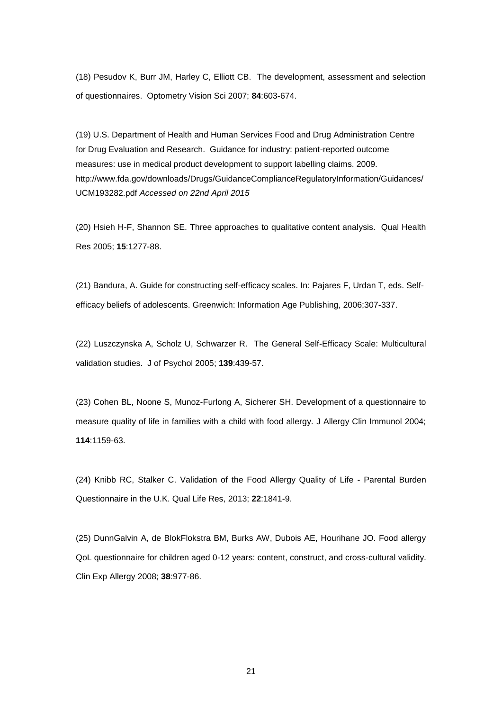(18) Pesudov K, Burr JM, Harley C, Elliott CB. The development, assessment and selection of questionnaires. Optometry Vision Sci 2007; **84**:603-674.

(19) U.S. Department of Health and Human Services Food and Drug Administration Centre for Drug Evaluation and Research. Guidance for industry: patient-reported outcome measures: use in medical product development to support labelling claims. 2009. http://www.fda.gov/downloads/Drugs/GuidanceComplianceRegulatoryInformation/Guidances/ UCM193282.pdf *Accessed on 22nd April 2015*

(20) Hsieh H-F, Shannon SE. Three approaches to qualitative content analysis. Qual Health Res 2005; **15**:1277-88.

(21) Bandura, A. Guide for constructing self-efficacy scales. In: Pajares F, Urdan T, eds. Selfefficacy beliefs of adolescents. Greenwich: Information Age Publishing, 2006;307-337.

(22) Luszczynska A, Scholz U, Schwarzer R. The General Self-Efficacy Scale: Multicultural validation studies. J of Psychol 2005; **139**:439-57.

(23) Cohen BL, Noone S, Munoz-Furlong A, Sicherer SH. Development of a questionnaire to measure quality of life in families with a child with food allergy. J Allergy Clin Immunol 2004; **114**:1159-63.

(24) Knibb RC, Stalker C. Validation of the Food Allergy Quality of Life - Parental Burden Questionnaire in the U.K. Qual Life Res, 2013; **22**:1841-9.

(25) DunnGalvin A, de BlokFlokstra BM, Burks AW, Dubois AE, Hourihane JO. Food allergy QoL questionnaire for children aged 0-12 years: content, construct, and cross-cultural validity. Clin Exp Allergy 2008; **38**:977-86.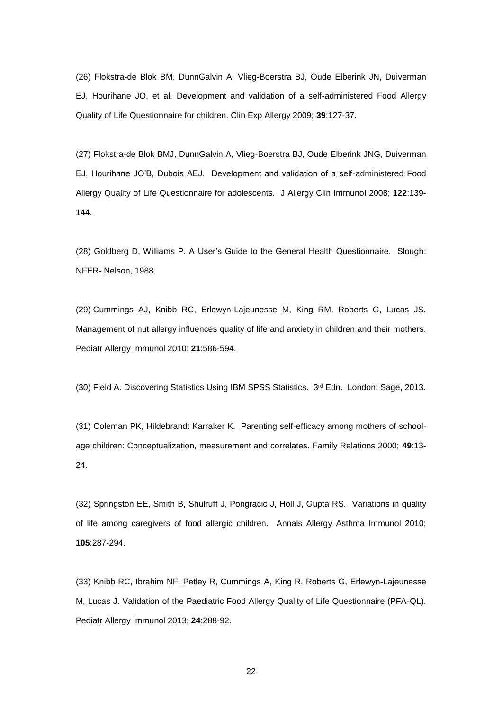(26) Flokstra-de Blok BM, DunnGalvin A, Vlieg-Boerstra BJ, Oude Elberink JN, Duiverman EJ, Hourihane JO, et al. Development and validation of a self-administered Food Allergy Quality of Life Questionnaire for children. Clin Exp Allergy 2009; **39**:127-37.

(27) Flokstra-de Blok BMJ, DunnGalvin A, Vlieg-Boerstra BJ, Oude Elberink JNG, Duiverman EJ, Hourihane JO'B, Dubois AEJ. Development and validation of a self-administered Food Allergy Quality of Life Questionnaire for adolescents. J Allergy Clin Immunol 2008; **122**:139- 144.

(28) Goldberg D, Williams P. A User's Guide to the General Health Questionnaire. Slough: NFER- Nelson, 1988.

(29) Cummings AJ, Knibb RC, Erlewyn-Lajeunesse M, King RM, Roberts G, Lucas JS. Management of nut allergy influences quality of life and anxiety in children and their mothers. Pediatr Allergy Immunol 2010; **21**:586-594.

(30) Field A. Discovering Statistics Using IBM SPSS Statistics. 3rd Edn. London: Sage, 2013.

(31) Coleman PK, Hildebrandt Karraker K. Parenting self-efficacy among mothers of schoolage children: Conceptualization, measurement and correlates. Family Relations 2000; **49**:13- 24.

(32) Springston EE, Smith B, Shulruff J, Pongracic J, Holl J, Gupta RS. Variations in quality of life among caregivers of food allergic children. Annals Allergy Asthma Immunol 2010; **105**:287-294.

(33) Knibb RC, Ibrahim NF, Petley R, Cummings A, King R, Roberts G, Erlewyn-Lajeunesse M, Lucas J. Validation of the Paediatric Food Allergy Quality of Life Questionnaire (PFA-QL). Pediatr Allergy Immunol 2013; **24**:288-92.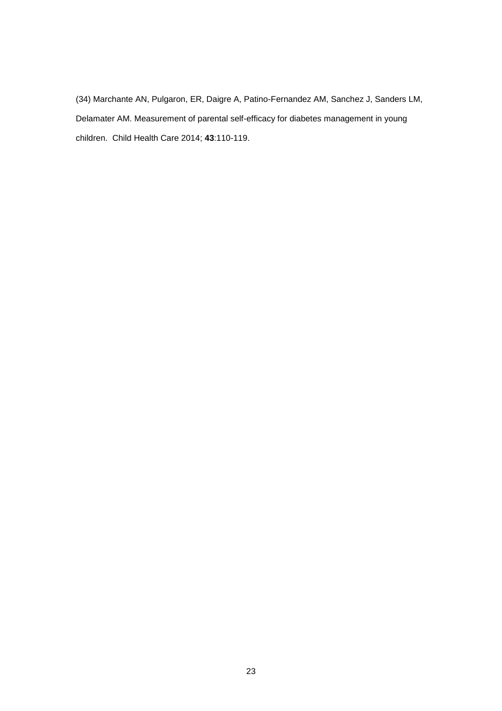(34) Marchante AN, Pulgaron, ER, Daigre A, Patino-Fernandez AM, Sanchez J, Sanders LM, Delamater AM. Measurement of parental self-efficacy for diabetes management in young children. Child Health Care 2014; **43**:110-119.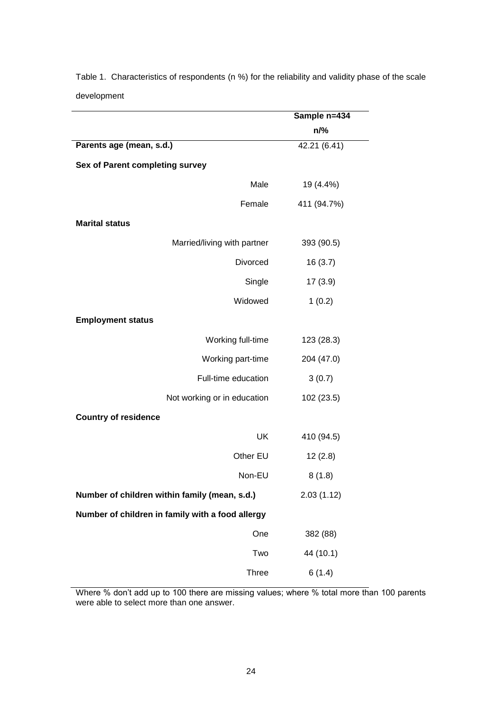|                                                  | Sample n=434   |
|--------------------------------------------------|----------------|
|                                                  | $n\frac{1}{6}$ |
| Parents age (mean, s.d.)                         | 42.21(6.41)    |
| Sex of Parent completing survey                  |                |
| Male                                             | 19 (4.4%)      |
| Female                                           | 411 (94.7%)    |
| <b>Marital status</b>                            |                |
| Married/living with partner                      | 393 (90.5)     |
| Divorced                                         | 16(3.7)        |
| Single                                           | 17(3.9)        |
| Widowed                                          | 1(0.2)         |
| <b>Employment status</b>                         |                |
| Working full-time                                | 123 (28.3)     |
| Working part-time                                | 204 (47.0)     |
| Full-time education                              | 3(0.7)         |
| Not working or in education                      | 102 (23.5)     |
| <b>Country of residence</b>                      |                |
| UK                                               | 410 (94.5)     |
| Other EU                                         | 12(2.8)        |
| Non-EU                                           | 8(1.8)         |
| Number of children within family (mean, s.d.)    | 2.03(1.12)     |
| Number of children in family with a food allergy |                |
| One                                              | 382 (88)       |
| Two                                              | 44 (10.1)      |
| <b>Three</b>                                     | 6(1.4)         |
|                                                  |                |

Table 1. Characteristics of respondents (n %) for the reliability and validity phase of the scale development

Where % don't add up to 100 there are missing values; where % total more than 100 parents were able to select more than one answer.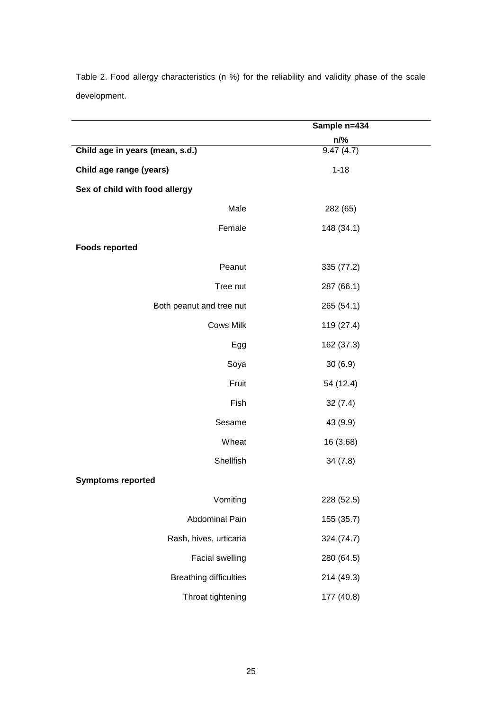|                                 | Sample n=434            |
|---------------------------------|-------------------------|
|                                 | $\frac{n/%}{9.47(4.7)}$ |
| Child age in years (mean, s.d.) |                         |
| Child age range (years)         | $1 - 18$                |
| Sex of child with food allergy  |                         |
| Male                            | 282 (65)                |
| Female                          | 148 (34.1)              |
| <b>Foods reported</b>           |                         |
| Peanut                          | 335 (77.2)              |
| Tree nut                        | 287 (66.1)              |
| Both peanut and tree nut        | 265 (54.1)              |
| <b>Cows Milk</b>                | 119 (27.4)              |
| Egg                             | 162 (37.3)              |
| Soya                            | 30(6.9)                 |
| Fruit                           | 54 (12.4)               |
| Fish                            | 32(7.4)                 |
| Sesame                          | 43 (9.9)                |
| Wheat                           | 16 (3.68)               |
| Shellfish                       | 34(7.8)                 |
| <b>Symptoms reported</b>        |                         |
| Vomiting                        | 228 (52.5)              |
| Abdominal Pain                  | 155 (35.7)              |
| Rash, hives, urticaria          | 324 (74.7)              |
| <b>Facial swelling</b>          | 280 (64.5)              |
| <b>Breathing difficulties</b>   | 214 (49.3)              |
| Throat tightening               | 177 (40.8)              |
|                                 |                         |

Table 2. Food allergy characteristics (n %) for the reliability and validity phase of the scale development.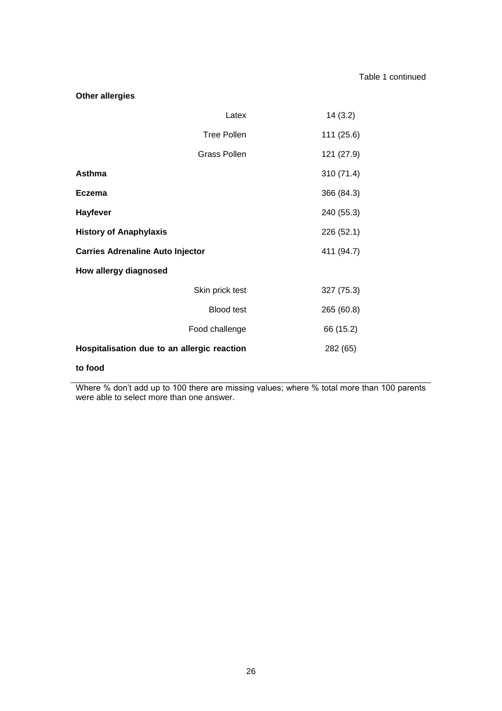# **Other allergies**

|                                             | Latex              | 14(3.2)    |
|---------------------------------------------|--------------------|------------|
|                                             | <b>Tree Pollen</b> | 111 (25.6) |
|                                             | Grass Pollen       | 121 (27.9) |
| Asthma                                      |                    | 310 (71.4) |
| Eczema                                      |                    | 366 (84.3) |
| <b>Hayfever</b>                             |                    | 240 (55.3) |
| <b>History of Anaphylaxis</b>               |                    | 226 (52.1) |
| <b>Carries Adrenaline Auto Injector</b>     |                    | 411 (94.7) |
| How allergy diagnosed                       |                    |            |
|                                             | Skin prick test    | 327 (75.3) |
|                                             | <b>Blood test</b>  | 265 (60.8) |
|                                             | Food challenge     | 66 (15.2)  |
| Hospitalisation due to an allergic reaction |                    | 282 (65)   |
|                                             |                    |            |

**to food**

Where % don't add up to 100 there are missing values; where % total more than 100 parents were able to select more than one answer.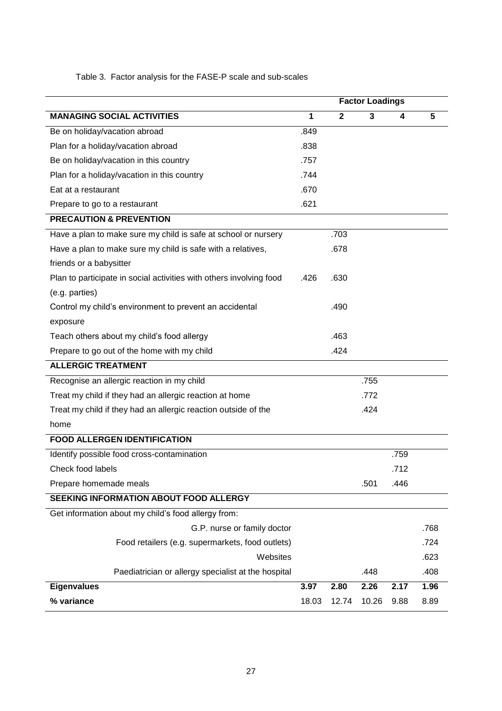Table 3. Factor analysis for the FASE-P scale and sub-scales

|                                                                     | <b>Factor Loadings</b> |       |       |      |      |
|---------------------------------------------------------------------|------------------------|-------|-------|------|------|
| <b>MANAGING SOCIAL ACTIVITIES</b>                                   | 1                      | 2     | 3     | 4    | 5    |
| Be on holiday/vacation abroad                                       | .849                   |       |       |      |      |
| Plan for a holiday/vacation abroad                                  | .838                   |       |       |      |      |
| Be on holiday/vacation in this country                              | .757                   |       |       |      |      |
| Plan for a holiday/vacation in this country                         | .744                   |       |       |      |      |
| Eat at a restaurant                                                 | .670                   |       |       |      |      |
| Prepare to go to a restaurant                                       | .621                   |       |       |      |      |
| <b>PRECAUTION &amp; PREVENTION</b>                                  |                        |       |       |      |      |
| Have a plan to make sure my child is safe at school or nursery      |                        | .703  |       |      |      |
| Have a plan to make sure my child is safe with a relatives,         |                        | .678  |       |      |      |
| friends or a babysitter                                             |                        |       |       |      |      |
| Plan to participate in social activities with others involving food | .426                   | .630  |       |      |      |
| (e.g. parties)                                                      |                        |       |       |      |      |
| Control my child's environment to prevent an accidental             |                        | .490  |       |      |      |
| exposure                                                            |                        |       |       |      |      |
| Teach others about my child's food allergy                          |                        | .463  |       |      |      |
| Prepare to go out of the home with my child                         |                        | .424  |       |      |      |
| <b>ALLERGIC TREATMENT</b>                                           |                        |       |       |      |      |
| Recognise an allergic reaction in my child                          |                        |       | .755  |      |      |
| Treat my child if they had an allergic reaction at home             |                        |       | .772  |      |      |
| Treat my child if they had an allergic reaction outside of the      |                        |       | .424  |      |      |
| home                                                                |                        |       |       |      |      |
| <b>FOOD ALLERGEN IDENTIFICATION</b>                                 |                        |       |       |      |      |
| Identify possible food cross-contamination                          |                        |       |       | .759 |      |
| Check food labels                                                   |                        |       |       | .712 |      |
| Prepare homemade meals                                              |                        |       | .501  | .446 |      |
| <b>SEEKING INFORMATION ABOUT FOOD ALLERGY</b>                       |                        |       |       |      |      |
| Get information about my child's food allergy from:                 |                        |       |       |      |      |
| G.P. nurse or family doctor                                         |                        |       |       |      | .768 |
| Food retailers (e.g. supermarkets, food outlets)                    |                        |       |       |      | .724 |
| Websites                                                            |                        |       |       |      | .623 |
| Paediatrician or allergy specialist at the hospital                 |                        |       | .448  |      | .408 |
| <b>Eigenvalues</b>                                                  | 3.97                   | 2.80  | 2.26  | 2.17 | 1.96 |
| % variance                                                          | 18.03                  | 12.74 | 10.26 | 9.88 | 8.89 |